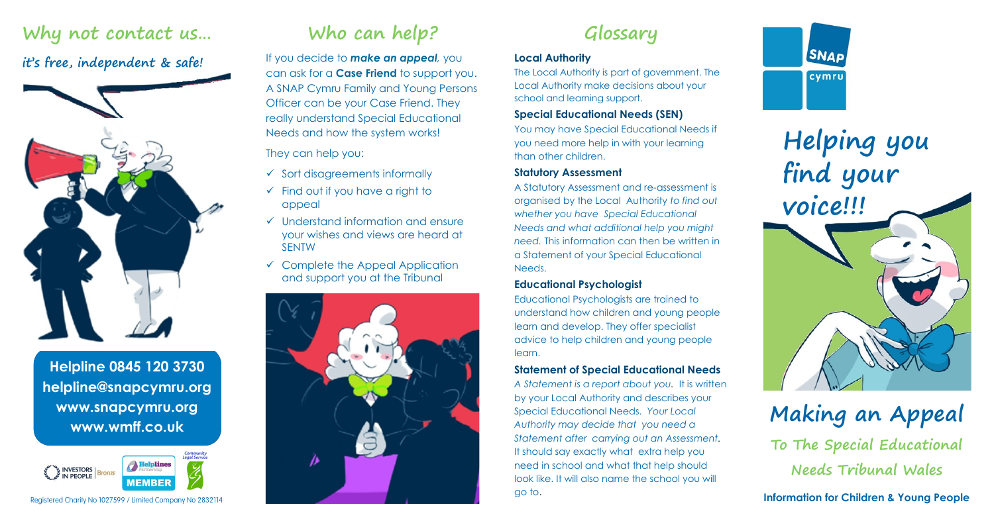### **Why not contact us…**

### **it's free, independent & safe!**



**Helpline 0845 120 3730 helpline@snapcymru.org www.snapcymru.org www.wmff.co.uk**



Registered Charity No 1027599 / Limited Company No 2832114

## **Who can help?**

If you decide to *make an appeal,* you can ask for a **Case Friend** to support you. A SNAP Cymru Family and Young Persons Officer can be your Case Friend. They really understand Special Educational Needs and how the system works!

#### They can help you:

- $\checkmark$  Sort disagreements informally
- $\checkmark$  Find out if you have a right to appeal
- $\checkmark$  Understand information and ensure your wishes and views are heard at SENTW
- $\checkmark$  Complete the Appeal Application and support you at the Tribunal



### **Glossary**

#### **Local Authority**

The Local Authority is part of government. The Local Authority make decisions about your school and learning support.

#### **Special Educational Needs (SEN)**

You may have Special Educational Needs if you need more help in with your learning than other children.

#### **Statutory Assessment**

A Statutory Assessment and re-assessment is organised by the Local Authority *to find out whether you have Special Educational Needs and what additional help you might need.* This information can then be written in a Statement of your Special Educational Needs.

#### **Educational Psychologist**

Educational Psychologists are trained to understand how children and young people learn and develop. They offer specialist advice to help children and young people learn.

#### **Statement of Special Educational Needs**

*A Statement is a report about you.* It is written by your Local Authority and describes your Special Educational Needs. *Your Local Authority may decide that you need a Statement after carrying out an Assessment.*  It should say exactly what extra help you need in school and what that help should look like. It will also name the school you will go to.



**Helping you find your voice!!!**

# **Making an Appeal To The Special Educational Needs Tribunal Wales**

**Information for Children & Young People**